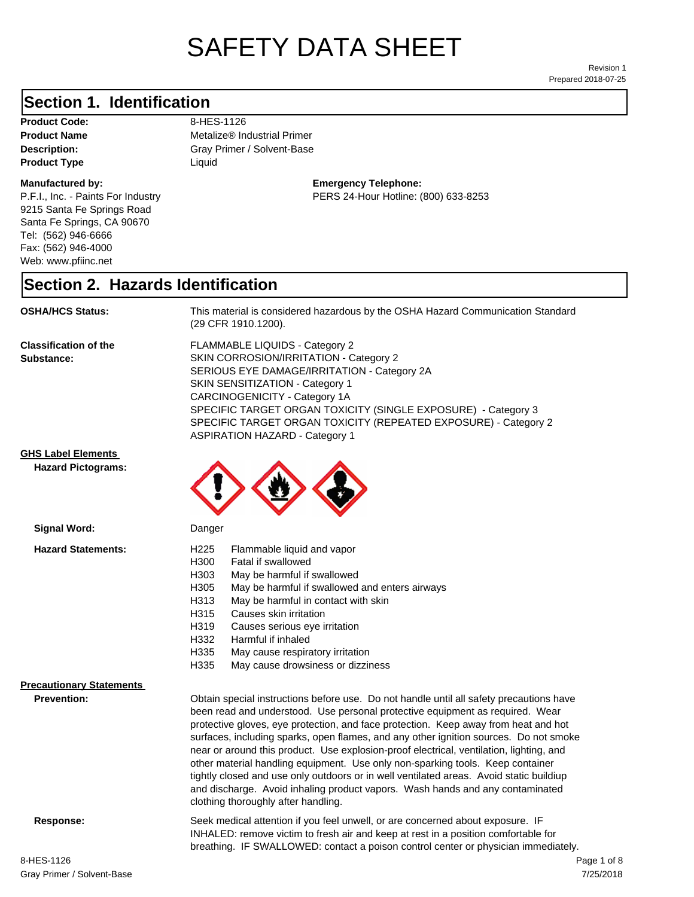# SAFETY DATA SHEET

Prepared 2018-07-25 Revision 1

#### **Section 1. Identification**

Product Code: 8-HES-1126 **Product Type** Liquid

#### **Manufactured by:**

P.F.I., Inc. - Paints For Industry 9215 Santa Fe Springs Road Santa Fe Springs, CA 90670 Tel: (562) 946-6666 Fax: (562) 946-4000 Web: www.pfiinc.net

**Description:** Gray Primer / Solvent-Base **Product Name** Metalize® Industrial Primer

#### **Emergency Telephone:** PERS 24-Hour Hotline: (800) 633-8253

#### **Section 2. Hazards Identification**

**OSHA/HCS Status:** This material is considered hazardous by the OSHA Hazard Communication Standard (29 CFR 1910.1200).

**Classification of the Substance:**

FLAMMABLE LIQUIDS - Category 2 SKIN CORROSION/IRRITATION - Category 2 SERIOUS EYE DAMAGE/IRRITATION - Category 2A SKIN SENSITIZATION - Category 1 CARCINOGENICITY - Category 1A SPECIFIC TARGET ORGAN TOXICITY (SINGLE EXPOSURE) - Category 3 SPECIFIC TARGET ORGAN TOXICITY (REPEATED EXPOSURE) - Category 2 ASPIRATION HAZARD - Category 1

#### **GHS Label Elements**

**Hazard Pictograms:**



#### **Precautionary Statements**

**Prevention:**

Obtain special instructions before use. Do not handle until all safety precautions have been read and understood. Use personal protective equipment as required. Wear protective gloves, eye protection, and face protection. Keep away from heat and hot surfaces, including sparks, open flames, and any other ignition sources. Do not smoke near or around this product. Use explosion-proof electrical, ventilation, lighting, and other material handling equipment. Use only non-sparking tools. Keep container tightly closed and use only outdoors or in well ventilated areas. Avoid static buildiup and discharge. Avoid inhaling product vapors. Wash hands and any contaminated clothing thoroughly after handling.

**Response:** Seek medical attention if you feel unwell, or are concerned about exposure. IF INHALED: remove victim to fresh air and keep at rest in a position comfortable for breathing. IF SWALLOWED: contact a poison control center or physician immediately.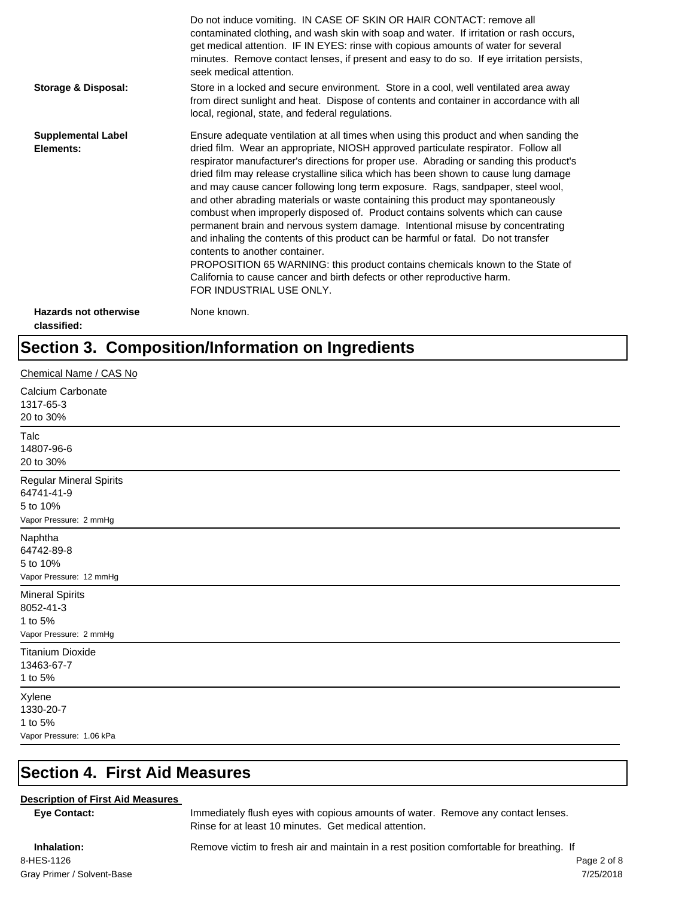|                                             | Do not induce vomiting. IN CASE OF SKIN OR HAIR CONTACT: remove all<br>contaminated clothing, and wash skin with soap and water. If irritation or rash occurs,<br>get medical attention. IF IN EYES: rinse with copious amounts of water for several<br>minutes. Remove contact lenses, if present and easy to do so. If eye irritation persists,<br>seek medical attention.                                                                                                                                                                                                                                                                                                                                                                                                                                                                                                                                                                                                                                             |
|---------------------------------------------|--------------------------------------------------------------------------------------------------------------------------------------------------------------------------------------------------------------------------------------------------------------------------------------------------------------------------------------------------------------------------------------------------------------------------------------------------------------------------------------------------------------------------------------------------------------------------------------------------------------------------------------------------------------------------------------------------------------------------------------------------------------------------------------------------------------------------------------------------------------------------------------------------------------------------------------------------------------------------------------------------------------------------|
| <b>Storage &amp; Disposal:</b>              | Store in a locked and secure environment. Store in a cool, well ventilated area away<br>from direct sunlight and heat. Dispose of contents and container in accordance with all<br>local, regional, state, and federal regulations.                                                                                                                                                                                                                                                                                                                                                                                                                                                                                                                                                                                                                                                                                                                                                                                      |
| <b>Supplemental Label</b><br>Elements:      | Ensure adequate ventilation at all times when using this product and when sanding the<br>dried film. Wear an appropriate, NIOSH approved particulate respirator. Follow all<br>respirator manufacturer's directions for proper use. Abrading or sanding this product's<br>dried film may release crystalline silica which has been shown to cause lung damage<br>and may cause cancer following long term exposure. Rags, sandpaper, steel wool,<br>and other abrading materials or waste containing this product may spontaneously<br>combust when improperly disposed of. Product contains solvents which can cause<br>permanent brain and nervous system damage. Intentional misuse by concentrating<br>and inhaling the contents of this product can be harmful or fatal. Do not transfer<br>contents to another container.<br>PROPOSITION 65 WARNING: this product contains chemicals known to the State of<br>California to cause cancer and birth defects or other reproductive harm.<br>FOR INDUSTRIAL USE ONLY. |
| <b>Hazards not otherwise</b><br>classified: | None known.                                                                                                                                                                                                                                                                                                                                                                                                                                                                                                                                                                                                                                                                                                                                                                                                                                                                                                                                                                                                              |

# **Section 3. Composition/Information on Ingredients**

| Chemical Name / CAS No                                                             |
|------------------------------------------------------------------------------------|
| Calcium Carbonate<br>1317-65-3<br>20 to 30%                                        |
| Talc<br>14807-96-6<br>20 to 30%                                                    |
| <b>Regular Mineral Spirits</b><br>64741-41-9<br>5 to 10%<br>Vapor Pressure: 2 mmHg |
| Naphtha<br>64742-89-8<br>5 to 10%<br>Vapor Pressure: 12 mmHg                       |
| <b>Mineral Spirits</b><br>8052-41-3<br>1 to 5%<br>Vapor Pressure: 2 mmHg           |
| <b>Titanium Dioxide</b><br>13463-67-7<br>1 to 5%                                   |
| Xylene<br>1330-20-7<br>1 to 5%<br>Vapor Pressure: 1.06 kPa                         |

# **Section 4. First Aid Measures**

#### **Description of First Aid Measures**

**Eye Contact:** Immediately flush eyes with copious amounts of water. Remove any contact lenses. Rinse for at least 10 minutes. Get medical attention.

Gray Primer / Solvent-Base 8-HES-1126 Page 2 of 8

**Inhalation:** Remove victim to fresh air and maintain in a rest position comfortable for breathing. If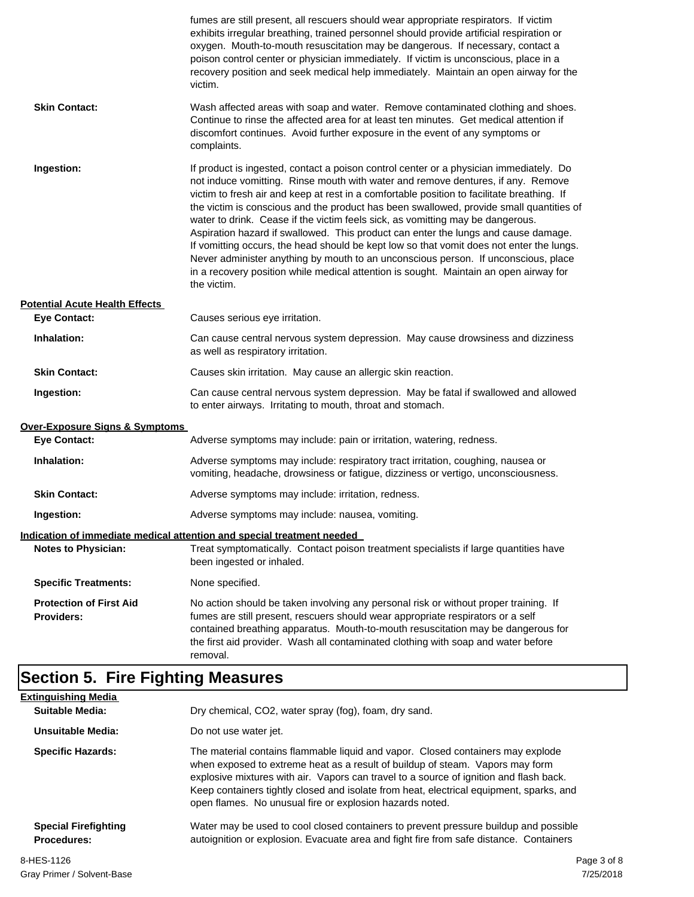|                                                     | fumes are still present, all rescuers should wear appropriate respirators. If victim<br>exhibits irregular breathing, trained personnel should provide artificial respiration or<br>oxygen. Mouth-to-mouth resuscitation may be dangerous. If necessary, contact a<br>poison control center or physician immediately. If victim is unconscious, place in a<br>recovery position and seek medical help immediately. Maintain an open airway for the<br>victim.                                                                                                                                                                                                                                                                                                                                                                         |
|-----------------------------------------------------|---------------------------------------------------------------------------------------------------------------------------------------------------------------------------------------------------------------------------------------------------------------------------------------------------------------------------------------------------------------------------------------------------------------------------------------------------------------------------------------------------------------------------------------------------------------------------------------------------------------------------------------------------------------------------------------------------------------------------------------------------------------------------------------------------------------------------------------|
| <b>Skin Contact:</b>                                | Wash affected areas with soap and water. Remove contaminated clothing and shoes.<br>Continue to rinse the affected area for at least ten minutes. Get medical attention if<br>discomfort continues. Avoid further exposure in the event of any symptoms or<br>complaints.                                                                                                                                                                                                                                                                                                                                                                                                                                                                                                                                                             |
| Ingestion:                                          | If product is ingested, contact a poison control center or a physician immediately. Do<br>not induce vomitting. Rinse mouth with water and remove dentures, if any. Remove<br>victim to fresh air and keep at rest in a comfortable position to facilitate breathing. If<br>the victim is conscious and the product has been swallowed, provide small quantities of<br>water to drink. Cease if the victim feels sick, as vomitting may be dangerous.<br>Aspiration hazard if swallowed. This product can enter the lungs and cause damage.<br>If vomitting occurs, the head should be kept low so that vomit does not enter the lungs.<br>Never administer anything by mouth to an unconscious person. If unconscious, place<br>in a recovery position while medical attention is sought. Maintain an open airway for<br>the victim. |
| <b>Potential Acute Health Effects</b>               |                                                                                                                                                                                                                                                                                                                                                                                                                                                                                                                                                                                                                                                                                                                                                                                                                                       |
| <b>Eye Contact:</b>                                 | Causes serious eye irritation.                                                                                                                                                                                                                                                                                                                                                                                                                                                                                                                                                                                                                                                                                                                                                                                                        |
| Inhalation:                                         | Can cause central nervous system depression. May cause drowsiness and dizziness<br>as well as respiratory irritation.                                                                                                                                                                                                                                                                                                                                                                                                                                                                                                                                                                                                                                                                                                                 |
| <b>Skin Contact:</b>                                | Causes skin irritation. May cause an allergic skin reaction.                                                                                                                                                                                                                                                                                                                                                                                                                                                                                                                                                                                                                                                                                                                                                                          |
| Ingestion:                                          | Can cause central nervous system depression. May be fatal if swallowed and allowed<br>to enter airways. Irritating to mouth, throat and stomach.                                                                                                                                                                                                                                                                                                                                                                                                                                                                                                                                                                                                                                                                                      |
| Over-Exposure Signs & Symptoms                      |                                                                                                                                                                                                                                                                                                                                                                                                                                                                                                                                                                                                                                                                                                                                                                                                                                       |
| <b>Eye Contact:</b>                                 | Adverse symptoms may include: pain or irritation, watering, redness.                                                                                                                                                                                                                                                                                                                                                                                                                                                                                                                                                                                                                                                                                                                                                                  |
| Inhalation:                                         | Adverse symptoms may include: respiratory tract irritation, coughing, nausea or<br>vomiting, headache, drowsiness or fatigue, dizziness or vertigo, unconsciousness.                                                                                                                                                                                                                                                                                                                                                                                                                                                                                                                                                                                                                                                                  |
| <b>Skin Contact:</b>                                | Adverse symptoms may include: irritation, redness.                                                                                                                                                                                                                                                                                                                                                                                                                                                                                                                                                                                                                                                                                                                                                                                    |
| Ingestion:                                          | Adverse symptoms may include: nausea, vomiting.                                                                                                                                                                                                                                                                                                                                                                                                                                                                                                                                                                                                                                                                                                                                                                                       |
|                                                     | <u>Indication of immediate medical attention and special treatment needed</u>                                                                                                                                                                                                                                                                                                                                                                                                                                                                                                                                                                                                                                                                                                                                                         |
| <b>Notes to Physician:</b>                          | Treat symptomatically. Contact poison treatment specialists if large quantities have<br>been ingested or inhaled.                                                                                                                                                                                                                                                                                                                                                                                                                                                                                                                                                                                                                                                                                                                     |
| <b>Specific Treatments:</b>                         | None specified.                                                                                                                                                                                                                                                                                                                                                                                                                                                                                                                                                                                                                                                                                                                                                                                                                       |
| <b>Protection of First Aid</b><br><b>Providers:</b> | No action should be taken involving any personal risk or without proper training. If<br>fumes are still present, rescuers should wear appropriate respirators or a self<br>contained breathing apparatus. Mouth-to-mouth resuscitation may be dangerous for<br>the first aid provider. Wash all contaminated clothing with soap and water before<br>removal.                                                                                                                                                                                                                                                                                                                                                                                                                                                                          |

# **Section 5. Fire Fighting Measures**

| <b>Extinguishing Media</b><br>Suitable Media:     | Dry chemical, CO2, water spray (fog), foam, dry sand.                                                                                                                                                                                                                                                                                                                                                             |
|---------------------------------------------------|-------------------------------------------------------------------------------------------------------------------------------------------------------------------------------------------------------------------------------------------------------------------------------------------------------------------------------------------------------------------------------------------------------------------|
| Unsuitable Media:                                 | Do not use water jet.                                                                                                                                                                                                                                                                                                                                                                                             |
| <b>Specific Hazards:</b>                          | The material contains flammable liquid and vapor. Closed containers may explode<br>when exposed to extreme heat as a result of buildup of steam. Vapors may form<br>explosive mixtures with air. Vapors can travel to a source of ignition and flash back.<br>Keep containers tightly closed and isolate from heat, electrical equipment, sparks, and<br>open flames. No unusual fire or explosion hazards noted. |
| <b>Special Firefighting</b><br><b>Procedures:</b> | Water may be used to cool closed containers to prevent pressure buildup and possible<br>autoignition or explosion. Evacuate area and fight fire from safe distance. Containers                                                                                                                                                                                                                                    |
| 8-HES-1126                                        | Page 3 of 8                                                                                                                                                                                                                                                                                                                                                                                                       |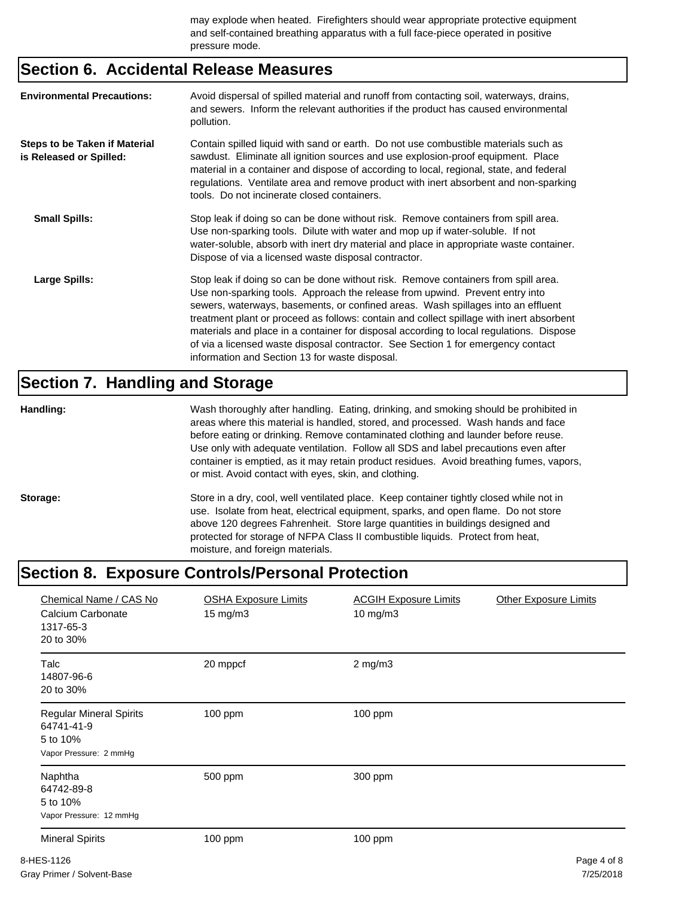may explode when heated. Firefighters should wear appropriate protective equipment and self-contained breathing apparatus with a full face-piece operated in positive pressure mode.

#### **Section 6. Accidental Release Measures**

| <b>Environmental Precautions:</b>                               | Avoid dispersal of spilled material and runoff from contacting soil, waterways, drains,<br>and sewers. Inform the relevant authorities if the product has caused environmental<br>pollution.                                                                                                                                                                                                                                                                                                                                                                                        |
|-----------------------------------------------------------------|-------------------------------------------------------------------------------------------------------------------------------------------------------------------------------------------------------------------------------------------------------------------------------------------------------------------------------------------------------------------------------------------------------------------------------------------------------------------------------------------------------------------------------------------------------------------------------------|
| <b>Steps to be Taken if Material</b><br>is Released or Spilled: | Contain spilled liquid with sand or earth. Do not use combustible materials such as<br>sawdust. Eliminate all ignition sources and use explosion-proof equipment. Place<br>material in a container and dispose of according to local, regional, state, and federal<br>regulations. Ventilate area and remove product with inert absorbent and non-sparking<br>tools. Do not incinerate closed containers.                                                                                                                                                                           |
| <b>Small Spills:</b>                                            | Stop leak if doing so can be done without risk. Remove containers from spill area.<br>Use non-sparking tools. Dilute with water and mop up if water-soluble. If not<br>water-soluble, absorb with inert dry material and place in appropriate waste container.<br>Dispose of via a licensed waste disposal contractor.                                                                                                                                                                                                                                                              |
| <b>Large Spills:</b>                                            | Stop leak if doing so can be done without risk. Remove containers from spill area.<br>Use non-sparking tools. Approach the release from upwind. Prevent entry into<br>sewers, waterways, basements, or confined areas. Wash spillages into an effluent<br>treatment plant or proceed as follows: contain and collect spillage with inert absorbent<br>materials and place in a container for disposal according to local regulations. Dispose<br>of via a licensed waste disposal contractor. See Section 1 for emergency contact<br>information and Section 13 for waste disposal. |

#### **Section 7. Handling and Storage**

**Handling:** Wash thoroughly after handling. Eating, drinking, and smoking should be prohibited in areas where this material is handled, stored, and processed. Wash hands and face before eating or drinking. Remove contaminated clothing and launder before reuse. Use only with adequate ventilation. Follow all SDS and label precautions even after container is emptied, as it may retain product residues. Avoid breathing fumes, vapors, or mist. Avoid contact with eyes, skin, and clothing.

Storage: Store in a dry, cool, well ventilated place. Keep container tightly closed while not in use. Isolate from heat, electrical equipment, sparks, and open flame. Do not store above 120 degrees Fahrenheit. Store large quantities in buildings designed and protected for storage of NFPA Class II combustible liquids. Protect from heat, moisture, and foreign materials.

#### **Section 8. Exposure Controls/Personal Protection**

| Chemical Name / CAS No<br>Calcium Carbonate<br>1317-65-3<br>20 to 30%              | <b>OSHA Exposure Limits</b><br>15 mg/m3 | <b>ACGIH Exposure Limits</b><br>10 mg/m3 | <b>Other Exposure Limits</b> |
|------------------------------------------------------------------------------------|-----------------------------------------|------------------------------------------|------------------------------|
| Talc<br>14807-96-6<br>20 to 30%                                                    | 20 mppcf                                | $2$ mg/m $3$                             |                              |
| <b>Regular Mineral Spirits</b><br>64741-41-9<br>5 to 10%<br>Vapor Pressure: 2 mmHg | $100$ ppm                               | 100 ppm                                  |                              |
| Naphtha<br>64742-89-8<br>5 to 10%<br>Vapor Pressure: 12 mmHg                       | 500 ppm                                 | 300 ppm                                  |                              |
| <b>Mineral Spirits</b>                                                             | 100 ppm                                 | 100 ppm                                  |                              |
| 8-HES-1126                                                                         |                                         |                                          | Page 4 of 8                  |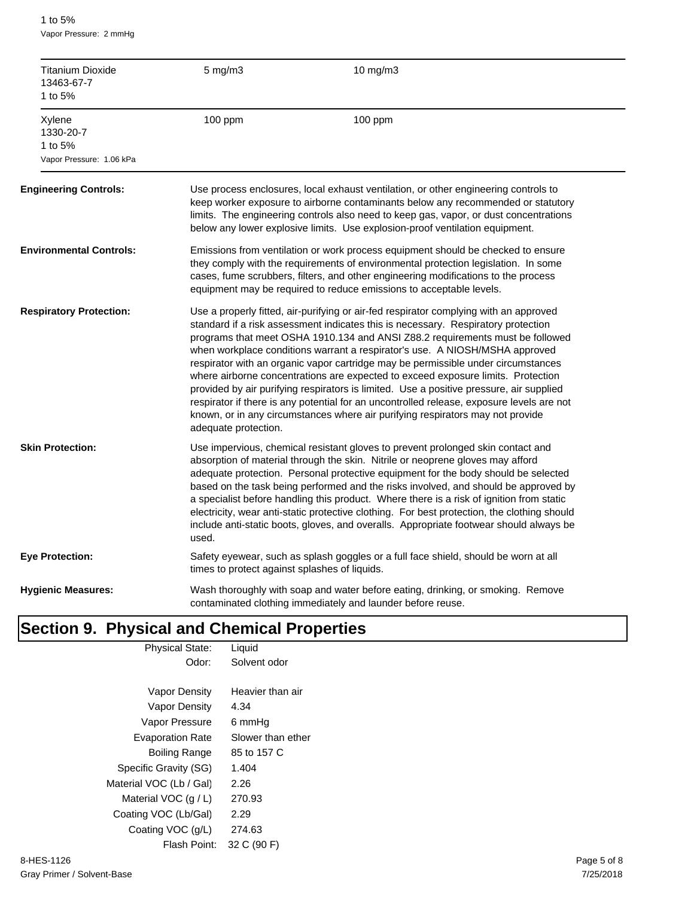1 to 5% Vapor Pressure: 2 mmHg

| <b>Titanium Dioxide</b><br>13463-67-7<br>1 to 5%           | $5$ mg/m $3$                                                                                                                                                                                                                                                                                                                        | 10 mg/m3                                                                                                                                                                                                                                                                                                                                                                                                                                                                                                                                                                                                                                                                                                                                                                                      |  |  |
|------------------------------------------------------------|-------------------------------------------------------------------------------------------------------------------------------------------------------------------------------------------------------------------------------------------------------------------------------------------------------------------------------------|-----------------------------------------------------------------------------------------------------------------------------------------------------------------------------------------------------------------------------------------------------------------------------------------------------------------------------------------------------------------------------------------------------------------------------------------------------------------------------------------------------------------------------------------------------------------------------------------------------------------------------------------------------------------------------------------------------------------------------------------------------------------------------------------------|--|--|
| Xylene<br>1330-20-7<br>1 to 5%<br>Vapor Pressure: 1.06 kPa | 100 ppm                                                                                                                                                                                                                                                                                                                             | 100 ppm                                                                                                                                                                                                                                                                                                                                                                                                                                                                                                                                                                                                                                                                                                                                                                                       |  |  |
| <b>Engineering Controls:</b>                               |                                                                                                                                                                                                                                                                                                                                     | Use process enclosures, local exhaust ventilation, or other engineering controls to<br>keep worker exposure to airborne contaminants below any recommended or statutory<br>limits. The engineering controls also need to keep gas, vapor, or dust concentrations<br>below any lower explosive limits. Use explosion-proof ventilation equipment.                                                                                                                                                                                                                                                                                                                                                                                                                                              |  |  |
| <b>Environmental Controls:</b>                             | Emissions from ventilation or work process equipment should be checked to ensure<br>they comply with the requirements of environmental protection legislation. In some<br>cases, fume scrubbers, filters, and other engineering modifications to the process<br>equipment may be required to reduce emissions to acceptable levels. |                                                                                                                                                                                                                                                                                                                                                                                                                                                                                                                                                                                                                                                                                                                                                                                               |  |  |
| <b>Respiratory Protection:</b>                             | adequate protection.                                                                                                                                                                                                                                                                                                                | Use a properly fitted, air-purifying or air-fed respirator complying with an approved<br>standard if a risk assessment indicates this is necessary. Respiratory protection<br>programs that meet OSHA 1910.134 and ANSI Z88.2 requirements must be followed<br>when workplace conditions warrant a respirator's use. A NIOSH/MSHA approved<br>respirator with an organic vapor cartridge may be permissible under circumstances<br>where airborne concentrations are expected to exceed exposure limits. Protection<br>provided by air purifying respirators is limited. Use a positive pressure, air supplied<br>respirator if there is any potential for an uncontrolled release, exposure levels are not<br>known, or in any circumstances where air purifying respirators may not provide |  |  |
| <b>Skin Protection:</b>                                    | used.                                                                                                                                                                                                                                                                                                                               | Use impervious, chemical resistant gloves to prevent prolonged skin contact and<br>absorption of material through the skin. Nitrile or neoprene gloves may afford<br>adequate protection. Personal protective equipment for the body should be selected<br>based on the task being performed and the risks involved, and should be approved by<br>a specialist before handling this product. Where there is a risk of ignition from static<br>electricity, wear anti-static protective clothing. For best protection, the clothing should<br>include anti-static boots, gloves, and overalls. Appropriate footwear should always be                                                                                                                                                           |  |  |
| Eye Protection:                                            | times to protect against splashes of liquids.                                                                                                                                                                                                                                                                                       | Safety eyewear, such as splash goggles or a full face shield, should be worn at all                                                                                                                                                                                                                                                                                                                                                                                                                                                                                                                                                                                                                                                                                                           |  |  |
| <b>Hygienic Measures:</b>                                  |                                                                                                                                                                                                                                                                                                                                     | Wash thoroughly with soap and water before eating, drinking, or smoking. Remove<br>contaminated clothing immediately and launder before reuse.                                                                                                                                                                                                                                                                                                                                                                                                                                                                                                                                                                                                                                                |  |  |

#### **Section 9. Physical and Chemical Properties** Physical State: Liquid

| Odor:                   | Solvent odor      |
|-------------------------|-------------------|
|                         |                   |
| Vapor Density           | Heavier than air  |
| Vapor Density           | 4.34              |
| Vapor Pressure          | 6 mmHq            |
| <b>Evaporation Rate</b> | Slower than ether |
| Boiling Range           | 85 to 157 C       |
| Specific Gravity (SG)   | 1.404             |
| Material VOC (Lb / Gal) | 2.26              |
| Material VOC $(q/L)$    | 270.93            |
| Coating VOC (Lb/Gal)    | 2.29              |
| Coating VOC (g/L)       | 274.63            |
| Flash Point:            | 32 C (90 F)       |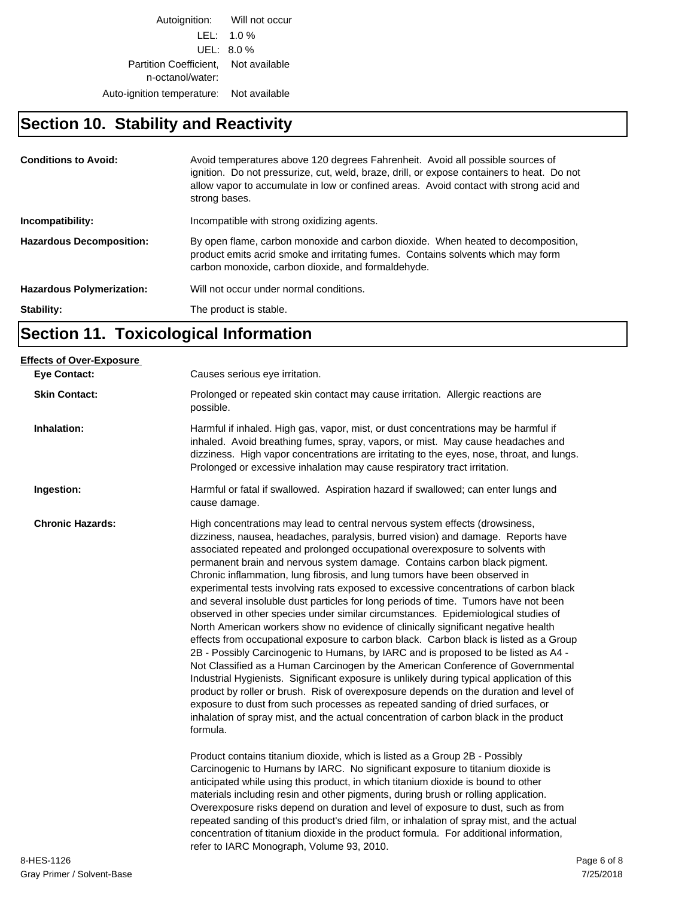Autoignition: Will not occur LEL: 1.0 % UEL: 8.0 % Partition Coefficient, Not available n-octanol/water: Auto-ignition temperature: Not available

## **Section 10. Stability and Reactivity**

| <b>Conditions to Avoid:</b>      | Avoid temperatures above 120 degrees Fahrenheit. Avoid all possible sources of<br>ignition. Do not pressurize, cut, weld, braze, drill, or expose containers to heat. Do not<br>allow vapor to accumulate in low or confined areas. Avoid contact with strong acid and<br>strong bases. |
|----------------------------------|-----------------------------------------------------------------------------------------------------------------------------------------------------------------------------------------------------------------------------------------------------------------------------------------|
| Incompatibility:                 | Incompatible with strong oxidizing agents.                                                                                                                                                                                                                                              |
| <b>Hazardous Decomposition:</b>  | By open flame, carbon monoxide and carbon dioxide. When heated to decomposition,<br>product emits acrid smoke and irritating fumes. Contains solvents which may form<br>carbon monoxide, carbon dioxide, and formaldehyde.                                                              |
| <b>Hazardous Polymerization:</b> | Will not occur under normal conditions.                                                                                                                                                                                                                                                 |
| Stability:                       | The product is stable.                                                                                                                                                                                                                                                                  |

# **Section 11. Toxicological Information**

| <b>Eye Contact:</b>     | Causes serious eye irritation.                                                                                                                                                                                                                                                                                                                                                                                                                                                                                                                                                                                                                                                                                                                                                                                                                                                                                                                                                                                                                                                                                                                                                                                                                                                                                                                                                                                       |             |
|-------------------------|----------------------------------------------------------------------------------------------------------------------------------------------------------------------------------------------------------------------------------------------------------------------------------------------------------------------------------------------------------------------------------------------------------------------------------------------------------------------------------------------------------------------------------------------------------------------------------------------------------------------------------------------------------------------------------------------------------------------------------------------------------------------------------------------------------------------------------------------------------------------------------------------------------------------------------------------------------------------------------------------------------------------------------------------------------------------------------------------------------------------------------------------------------------------------------------------------------------------------------------------------------------------------------------------------------------------------------------------------------------------------------------------------------------------|-------------|
| <b>Skin Contact:</b>    | Prolonged or repeated skin contact may cause irritation. Allergic reactions are<br>possible.                                                                                                                                                                                                                                                                                                                                                                                                                                                                                                                                                                                                                                                                                                                                                                                                                                                                                                                                                                                                                                                                                                                                                                                                                                                                                                                         |             |
| Inhalation:             | Harmful if inhaled. High gas, vapor, mist, or dust concentrations may be harmful if<br>inhaled. Avoid breathing fumes, spray, vapors, or mist. May cause headaches and<br>dizziness. High vapor concentrations are irritating to the eyes, nose, throat, and lungs.<br>Prolonged or excessive inhalation may cause respiratory tract irritation.                                                                                                                                                                                                                                                                                                                                                                                                                                                                                                                                                                                                                                                                                                                                                                                                                                                                                                                                                                                                                                                                     |             |
| Ingestion:              | Harmful or fatal if swallowed. Aspiration hazard if swallowed; can enter lungs and<br>cause damage.                                                                                                                                                                                                                                                                                                                                                                                                                                                                                                                                                                                                                                                                                                                                                                                                                                                                                                                                                                                                                                                                                                                                                                                                                                                                                                                  |             |
| <b>Chronic Hazards:</b> | High concentrations may lead to central nervous system effects (drowsiness,<br>dizziness, nausea, headaches, paralysis, burred vision) and damage. Reports have<br>associated repeated and prolonged occupational overexposure to solvents with<br>permanent brain and nervous system damage. Contains carbon black pigment.<br>Chronic inflammation, lung fibrosis, and lung tumors have been observed in<br>experimental tests involving rats exposed to excessive concentrations of carbon black<br>and several insoluble dust particles for long periods of time. Tumors have not been<br>observed in other species under similar circumstances. Epidemiological studies of<br>North American workers show no evidence of clinically significant negative health<br>effects from occupational exposure to carbon black. Carbon black is listed as a Group<br>2B - Possibly Carcinogenic to Humans, by IARC and is proposed to be listed as A4 -<br>Not Classified as a Human Carcinogen by the American Conference of Governmental<br>Industrial Hygienists. Significant exposure is unlikely during typical application of this<br>product by roller or brush. Risk of overexposure depends on the duration and level of<br>exposure to dust from such processes as repeated sanding of dried surfaces, or<br>inhalation of spray mist, and the actual concentration of carbon black in the product<br>formula. |             |
|                         | Product contains titanium dioxide, which is listed as a Group 2B - Possibly<br>Carcinogenic to Humans by IARC. No significant exposure to titanium dioxide is<br>anticipated while using this product, in which titanium dioxide is bound to other<br>materials including resin and other pigments, during brush or rolling application.<br>Overexposure risks depend on duration and level of exposure to dust, such as from<br>repeated sanding of this product's dried film, or inhalation of spray mist, and the actual<br>concentration of titanium dioxide in the product formula. For additional information,<br>refer to IARC Monograph, Volume 93, 2010.                                                                                                                                                                                                                                                                                                                                                                                                                                                                                                                                                                                                                                                                                                                                                    |             |
| 8-HES-1126              |                                                                                                                                                                                                                                                                                                                                                                                                                                                                                                                                                                                                                                                                                                                                                                                                                                                                                                                                                                                                                                                                                                                                                                                                                                                                                                                                                                                                                      | Page 6 of 8 |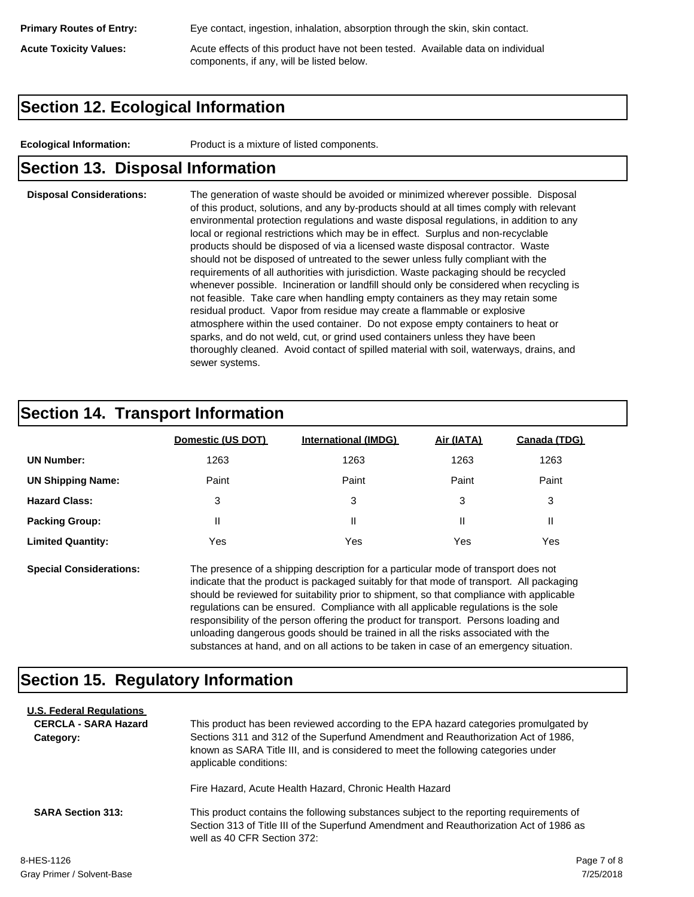**Primary Routes of Entry:** Eye contact, ingestion, inhalation, absorption through the skin, skin contact.

**Acute Toxicity Values:** Acute effects of this product have not been tested. Available data on individual components, if any, will be listed below.

#### **Section 12. Ecological Information**

**Ecological Information:** Product is a mixture of listed components.

#### **Section 13. Disposal Information**

**Disposal Considerations:** The generation of waste should be avoided or minimized wherever possible. Disposal of this product, solutions, and any by-products should at all times comply with relevant environmental protection regulations and waste disposal regulations, in addition to any local or regional restrictions which may be in effect. Surplus and non-recyclable products should be disposed of via a licensed waste disposal contractor. Waste should not be disposed of untreated to the sewer unless fully compliant with the requirements of all authorities with jurisdiction. Waste packaging should be recycled whenever possible. Incineration or landfill should only be considered when recycling is not feasible. Take care when handling empty containers as they may retain some residual product. Vapor from residue may create a flammable or explosive atmosphere within the used container. Do not expose empty containers to heat or sparks, and do not weld, cut, or grind used containers unless they have been thoroughly cleaned. Avoid contact of spilled material with soil, waterways, drains, and sewer systems.

## **Section 14. Transport Information**

|                          | Domestic (US DOT) | <b>International (IMDG)</b> | Air (IATA) | Canada (TDG) |
|--------------------------|-------------------|-----------------------------|------------|--------------|
| <b>UN Number:</b>        | 1263              | 1263                        | 1263       | 1263         |
| <b>UN Shipping Name:</b> | Paint             | Paint                       | Paint      | Paint        |
| <b>Hazard Class:</b>     | 3                 | 3                           | 3          | 3            |
| <b>Packing Group:</b>    | Ш                 | Ш                           | Ш          |              |
| <b>Limited Quantity:</b> | Yes               | Yes                         | Yes        | Yes          |

**Special Considerations:** The presence of a shipping description for a particular mode of transport does not indicate that the product is packaged suitably for that mode of transport. All packaging should be reviewed for suitability prior to shipment, so that compliance with applicable regulations can be ensured. Compliance with all applicable regulations is the sole responsibility of the person offering the product for transport. Persons loading and unloading dangerous goods should be trained in all the risks associated with the substances at hand, and on all actions to be taken in case of an emergency situation.

## **Section 15. Regulatory Information**

| <b>U.S. Federal Regulations</b> |                                                                                                                       |  |
|---------------------------------|-----------------------------------------------------------------------------------------------------------------------|--|
| <b>CERCLA - SARA Hazard</b>     | This product has been reviewed according to the EPA hazard categories promulgated by                                  |  |
| Category:                       | Sections 311 and 312 of the Superfund Amendment and Reauthorization Act of 1986.                                      |  |
|                                 | known as SARA Title III, and is considered to meet the following categories under<br>applicable conditions:           |  |
|                                 | Fire Hazard, Acute Health Hazard, Chronic Health Hazard                                                               |  |
| <b>SARA Section 313:</b>        | This product contains the following substances subject to the reporting requirements of                               |  |
|                                 | Section 313 of Title III of the Superfund Amendment and Reauthorization Act of 1986 as<br>well as 40 CFR Section 372: |  |
| 8-HES-1126                      | Page 7 of 8                                                                                                           |  |
|                                 |                                                                                                                       |  |